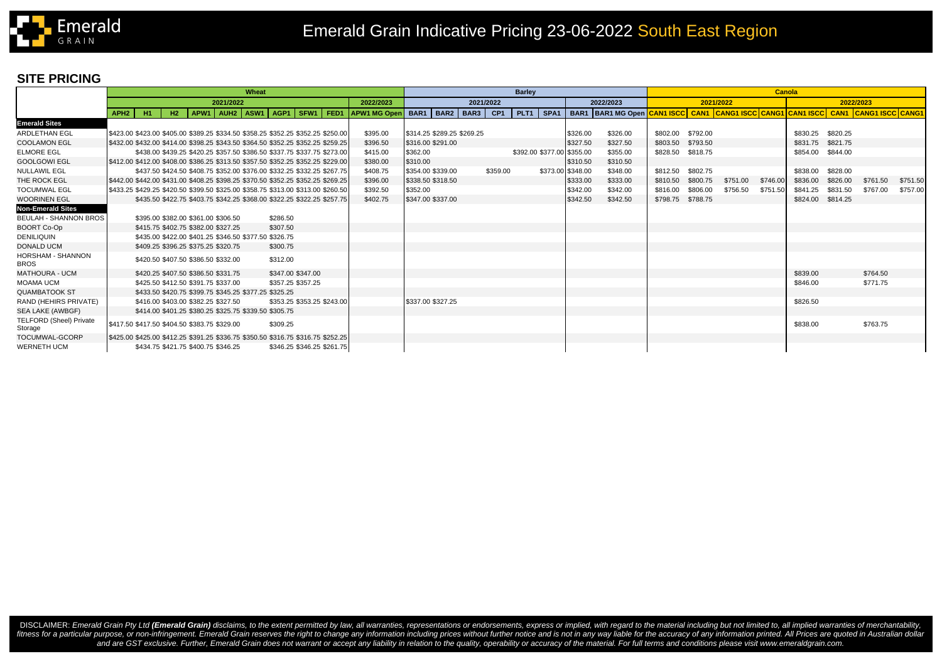

## **SITE PRICING**

|                                           | Wheat                                        |                                                       |  |  |  |           |                                                                                  |           |                                         | <b>Barley</b> |          |                            |                   |                                                                                             |          |                   | <b>Canola</b> |           |                   |          |          |          |
|-------------------------------------------|----------------------------------------------|-------------------------------------------------------|--|--|--|-----------|----------------------------------------------------------------------------------|-----------|-----------------------------------------|---------------|----------|----------------------------|-------------------|---------------------------------------------------------------------------------------------|----------|-------------------|---------------|-----------|-------------------|----------|----------|----------|
|                                           | 2021/2022                                    |                                                       |  |  |  | 2022/2023 |                                                                                  | 2021/2022 |                                         |               |          | 2022/2023                  | 2021/2022         |                                                                                             |          |                   |               | 2022/2023 |                   |          |          |          |
|                                           | APH <sub>2</sub><br>- H1 -                   | H2                                                    |  |  |  |           | APW1 AUH2 ASW1 AGP1 SFW1 FED1                                                    |           | APW1 MG Open   BAR1   BAR2   BAR3   CP1 |               |          |                            |                   | PLT1 SPA1 BAR1 BAR1 MG Open CAN1 ISCC CAN1 CANG1 ISCC CANG1 CAN1 ISCC CAN1 CANG1 ISCC CANG1 |          |                   |               |           |                   |          |          |          |
| <b>Emerald Sites</b>                      |                                              |                                                       |  |  |  |           |                                                                                  |           |                                         |               |          |                            |                   |                                                                                             |          |                   |               |           |                   |          |          |          |
| <b>ARDLETHAN EGL</b>                      |                                              |                                                       |  |  |  |           | \$423.00 \$423.00 \$405.00 \$389.25 \$334.50 \$358.25 \$352.25 \$352.25 \$250.00 | \$395.00  | \$314.25 \$289.25 \$269.25              |               |          |                            | \$326.00          | \$326.00                                                                                    | \$802.00 | \$792.00          |               |           | \$830.25          | \$820.25 |          |          |
| <b>COOLAMON EGL</b>                       |                                              |                                                       |  |  |  |           | \$432.00 \$432.00 \$414.00 \$398.25 \$343.50 \$364.50 \$352.25 \$352.25 \$259.25 | \$396.50  | \$316.00 \$291.00                       |               |          |                            | \$327.50          | \$327.50                                                                                    | \$803.50 | \$793.50          |               |           | \$831.75 \$821.75 |          |          |          |
| <b>ELMORE EGL</b>                         |                                              |                                                       |  |  |  |           | \$438.00 \$439.25 \$420.25 \$357.50 \$386.50 \$337.75 \$337.75 \$273.00          | \$415.00  | \$362.00                                |               |          | \$392.00 \$377.00 \$355.00 |                   | \$355.00                                                                                    |          | \$828.50 \$818.75 |               |           | \$854.00 \$844.00 |          |          |          |
| <b>GOOLGOWI EGL</b>                       |                                              |                                                       |  |  |  |           | \$412.00 \$412.00 \$408.00 \$386.25 \$313.50 \$357.50 \$352.25 \$352.25 \$229.00 | \$380.00  | \$310.00                                |               |          |                            | \$310.50          | \$310.50                                                                                    |          |                   |               |           |                   |          |          |          |
| <b>NULLAWIL EGL</b>                       |                                              |                                                       |  |  |  |           | \$437.50 \$424.50 \$408.75 \$352.00 \$376.00 \$332.25 \$332.25 \$267.75          | \$408.75  | \$354.00 \$339.00                       |               | \$359.00 |                            | \$373.00 \$348.00 | \$348.00                                                                                    | \$812.50 | \$802.75          |               |           | \$838.00          | \$828.00 |          |          |
| THE ROCK EGL                              |                                              |                                                       |  |  |  |           | \$442.00 \$442.00 \$431.00 \$408.25 \$398.25 \$370.50 \$352.25 \$352.25 \$269.25 | \$396.00  | \$338.50 \$318.50                       |               |          |                            | \$333.00          | \$333.00                                                                                    | \$810.50 | \$800.75          | \$751.00      | \$746.00  | \$836.00          | \$826.00 | \$761.50 | \$751.50 |
| <b>TOCUMWAL EGL</b>                       |                                              |                                                       |  |  |  |           | \$433.25 \$429.25 \$420.50 \$399.50 \$325.00 \$358.75 \$313.00 \$313.00 \$260.50 | \$392.50  | \$352.00                                |               |          |                            | \$342.00          | \$342.00                                                                                    | \$816.00 | \$806.00          | \$756.50      | \$751.50  | \$841.25          | \$831.50 | \$767.00 | \$757.00 |
| <b>WOORINEN EGL</b>                       |                                              |                                                       |  |  |  |           | \$435.50 \$422.75 \$403.75 \$342.25 \$368.00 \$322.25 \$322.25 \$257.75          | \$402.75  | \$347.00 \$337.00                       |               |          |                            | \$342.50          | \$342.50                                                                                    |          | \$798.75 \$788.75 |               |           | \$824.00 \$814.25 |          |          |          |
| <b>Non-Emerald Sites</b>                  |                                              |                                                       |  |  |  |           |                                                                                  |           |                                         |               |          |                            |                   |                                                                                             |          |                   |               |           |                   |          |          |          |
| <b>BEULAH - SHANNON BROS</b>              |                                              | \$395.00 \$382.00 \$361.00 \$306.50                   |  |  |  | \$286.50  |                                                                                  |           |                                         |               |          |                            |                   |                                                                                             |          |                   |               |           |                   |          |          |          |
| <b>BOORT Co-Op</b>                        |                                              | \$415.75 \$402.75 \$382.00 \$327.25                   |  |  |  | \$307.50  |                                                                                  |           |                                         |               |          |                            |                   |                                                                                             |          |                   |               |           |                   |          |          |          |
| <b>DENILIQUIN</b>                         |                                              | \$435.00 \$422.00 \$401.25 \$346.50 \$377.50 \$326.75 |  |  |  |           |                                                                                  |           |                                         |               |          |                            |                   |                                                                                             |          |                   |               |           |                   |          |          |          |
| <b>DONALD UCM</b>                         |                                              | \$409.25 \$396.25 \$375.25 \$320.75                   |  |  |  | \$300.75  |                                                                                  |           |                                         |               |          |                            |                   |                                                                                             |          |                   |               |           |                   |          |          |          |
| HORSHAM - SHANNON<br><b>BROS</b>          |                                              | \$420.50 \$407.50 \$386.50 \$332.00                   |  |  |  | \$312.00  |                                                                                  |           |                                         |               |          |                            |                   |                                                                                             |          |                   |               |           |                   |          |          |          |
| <b>MATHOURA - UCM</b>                     |                                              | \$420.25 \$407.50 \$386.50 \$331.75                   |  |  |  |           | \$347.00 \$347.00                                                                |           |                                         |               |          |                            |                   |                                                                                             |          |                   |               |           | \$839.00          |          | \$764.50 |          |
| <b>MOAMA UCM</b>                          |                                              | \$425.50 \$412.50 \$391.75 \$337.00                   |  |  |  |           | \$357.25 \$357.25                                                                |           |                                         |               |          |                            |                   |                                                                                             |          |                   |               |           | \$846.00          |          | \$771.75 |          |
| <b>QUAMBATOOK ST</b>                      |                                              | \$433.50 \$420.75 \$399.75 \$345.25 \$377.25 \$325.25 |  |  |  |           |                                                                                  |           |                                         |               |          |                            |                   |                                                                                             |          |                   |               |           |                   |          |          |          |
| RAND (HEHIRS PRIVATE)                     |                                              | \$416.00 \$403.00 \$382.25 \$327.50                   |  |  |  |           | \$353.25 \$353.25 \$243.00                                                       |           | \$337.00 \$327.25                       |               |          |                            |                   |                                                                                             |          |                   |               |           | \$826.50          |          |          |          |
| SEA LAKE (AWBGF)                          |                                              | \$414.00 \$401.25 \$380.25 \$325.75 \$339.50 \$305.75 |  |  |  |           |                                                                                  |           |                                         |               |          |                            |                   |                                                                                             |          |                   |               |           |                   |          |          |          |
| <b>TELFORD (Sheel) Private</b><br>Storage | \$417.50 \$417.50 \$404.50 \$383.75 \$329.00 |                                                       |  |  |  | \$309.25  |                                                                                  |           |                                         |               |          |                            |                   |                                                                                             |          |                   |               |           | \$838.00          |          | \$763.75 |          |
| TOCUMWAL-GCORP                            |                                              |                                                       |  |  |  |           | \$425.00 \$425.00 \$412.25 \$391.25 \$336.75 \$350.50 \$316.75 \$316.75 \$252.25 |           |                                         |               |          |                            |                   |                                                                                             |          |                   |               |           |                   |          |          |          |
| <b>WERNETH UCM</b>                        |                                              | \$434.75 \$421.75 \$400.75 \$346.25                   |  |  |  |           | \$346.25 \$346.25 \$261.75                                                       |           |                                         |               |          |                            |                   |                                                                                             |          |                   |               |           |                   |          |          |          |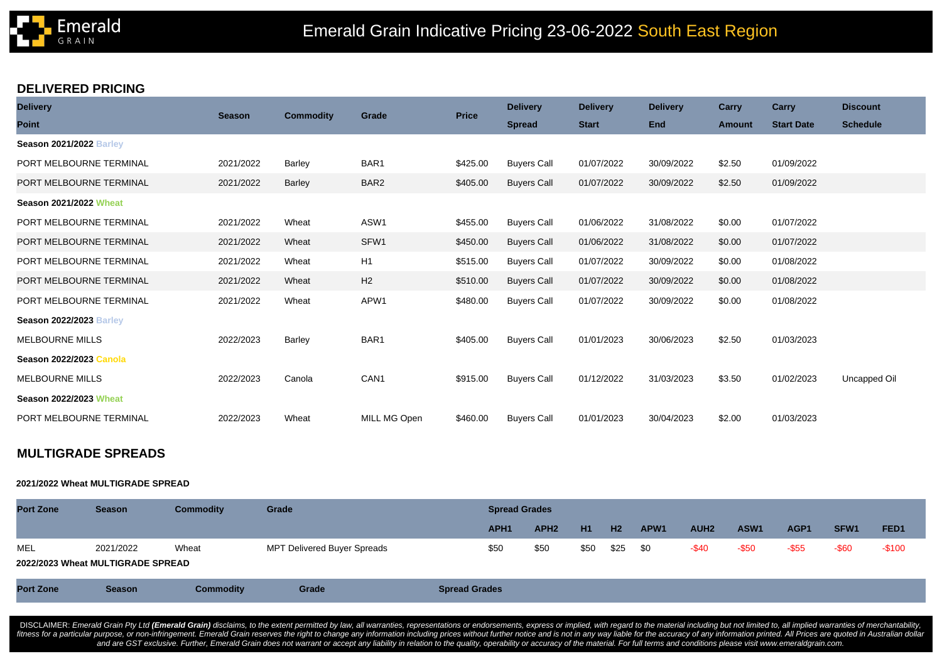

### **DELIVERED PRICING**

| <b>Delivery</b>                | <b>Season</b> | <b>Commodity</b> | Grade            | <b>Price</b> | <b>Delivery</b>    | <b>Delivery</b> | <b>Delivery</b> | Carry         | Carry             | <b>Discount</b> |  |
|--------------------------------|---------------|------------------|------------------|--------------|--------------------|-----------------|-----------------|---------------|-------------------|-----------------|--|
| <b>Point</b>                   |               |                  |                  |              | <b>Spread</b>      | <b>Start</b>    | <b>End</b>      | <b>Amount</b> | <b>Start Date</b> | <b>Schedule</b> |  |
| <b>Season 2021/2022 Barley</b> |               |                  |                  |              |                    |                 |                 |               |                   |                 |  |
| PORT MELBOURNE TERMINAL        | 2021/2022     | Barley           | BAR <sub>1</sub> | \$425.00     | <b>Buyers Call</b> | 01/07/2022      | 30/09/2022      | \$2.50        | 01/09/2022        |                 |  |
| PORT MELBOURNE TERMINAL        | 2021/2022     | <b>Barley</b>    | BAR2             | \$405.00     | <b>Buyers Call</b> | 01/07/2022      | 30/09/2022      | \$2.50        | 01/09/2022        |                 |  |
| <b>Season 2021/2022 Wheat</b>  |               |                  |                  |              |                    |                 |                 |               |                   |                 |  |
| PORT MELBOURNE TERMINAL        | 2021/2022     | Wheat            | ASW1             | \$455.00     | <b>Buyers Call</b> | 01/06/2022      | 31/08/2022      | \$0.00        | 01/07/2022        |                 |  |
| PORT MELBOURNE TERMINAL        | 2021/2022     | Wheat            | SFW1             | \$450.00     | <b>Buyers Call</b> | 01/06/2022      | 31/08/2022      | \$0.00        | 01/07/2022        |                 |  |
| PORT MELBOURNE TERMINAL        | 2021/2022     | Wheat            | H1               | \$515.00     | <b>Buyers Call</b> | 01/07/2022      | 30/09/2022      | \$0.00        | 01/08/2022        |                 |  |
| PORT MELBOURNE TERMINAL        | 2021/2022     | Wheat            | H2               | \$510.00     | <b>Buyers Call</b> | 01/07/2022      | 30/09/2022      | \$0.00        | 01/08/2022        |                 |  |
| PORT MELBOURNE TERMINAL        | 2021/2022     | Wheat            | APW1             | \$480.00     | <b>Buyers Call</b> | 01/07/2022      | 30/09/2022      | \$0.00        | 01/08/2022        |                 |  |
| <b>Season 2022/2023 Barley</b> |               |                  |                  |              |                    |                 |                 |               |                   |                 |  |
| <b>MELBOURNE MILLS</b>         | 2022/2023     | Barley           | BAR <sub>1</sub> | \$405.00     | <b>Buyers Call</b> | 01/01/2023      | 30/06/2023      | \$2.50        | 01/03/2023        |                 |  |
| <b>Season 2022/2023 Canola</b> |               |                  |                  |              |                    |                 |                 |               |                   |                 |  |
| <b>MELBOURNE MILLS</b>         | 2022/2023     | Canola           | CAN <sub>1</sub> | \$915.00     | <b>Buyers Call</b> | 01/12/2022      | 31/03/2023      | \$3.50        | 01/02/2023        | Uncapped Oil    |  |
| <b>Season 2022/2023 Wheat</b>  |               |                  |                  |              |                    |                 |                 |               |                   |                 |  |
| PORT MELBOURNE TERMINAL        | 2022/2023     | Wheat            | MILL MG Open     | \$460.00     | <b>Buyers Call</b> | 01/01/2023      | 30/04/2023      | \$2.00        | 01/03/2023        |                 |  |

# **MULTIGRADE SPREADS**

#### **2021/2022 Wheat MULTIGRADE SPREAD**

| <b>Port Zone</b>                  | <b>Season</b> | Commodity | Grade                       | <b>Spread Grades</b> |                  |           |                |                  |                  |                  |          |                  |                  |
|-----------------------------------|---------------|-----------|-----------------------------|----------------------|------------------|-----------|----------------|------------------|------------------|------------------|----------|------------------|------------------|
|                                   |               |           |                             | APH <sub>1</sub>     | APH <sub>2</sub> | <b>H1</b> | H <sub>2</sub> | APW <sub>1</sub> | AUH <sub>2</sub> | ASW <sub>1</sub> | AGP1     | SFW <sub>1</sub> | FED <sub>1</sub> |
| MEL                               | 2021/2022     | Wheat     | MPT Delivered Buyer Spreads | \$50                 | \$50             | \$50      | \$25           | \$0              | $-$ \$40         | -\$50            | $-$ \$55 | $-$ \$60         | $-$100$          |
| 2022/2023 Wheat MULTIGRADE SPREAD |               |           |                             |                      |                  |           |                |                  |                  |                  |          |                  |                  |

DISCLAIMER: Emerald Grain Pty Ltd (Emerald Grain) disclaims, to the extent permitted by law, all warranties, representations or endorsements, express or implied, with regard to the material including but not limited to, al fitness for a particular purpose, or non-infringement. Emerald Grain reserves the right to change any information including prices without further notice and is not in any way liable for the accuracy of any information pri and are GST exclusive. Further, Emerald Grain does not warrant or accept any liability in relation to the quality, operability or accuracy of the material. For full terms and conditions please visit www.emeraldgrain.com.